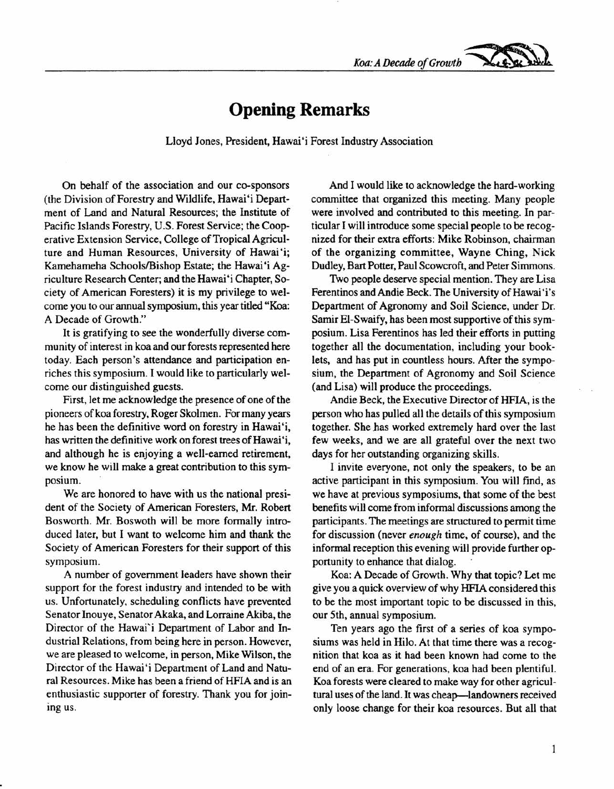*Koa:ADecadeofGrowth ~*

## **Opening Remarks**

Lloyd Jones, President, Hawai'i Forest Industry Association

On behalf of the association and our co-sponsors (the Division of Forestry and Wildlife, Hawai'i Department of Land and Natural Resources; the Institute of Pacific Islands Forestry, U.S. Forest Service; the Cooperative Extension Service, College of Tropical Agriculture and Human Resources, University of Hawai'i; Kamehameha Schools/Bishop Estate; the Hawai'i Agriculture Research Center; and the Hawai'i Chapter, Society of American Foresters) it is my privilege to welcome you to our annual symposium, this year titled "Koa: A Decade of Growth."

It is gratifying to see the wonderfully diverse community of interest in koa and our forests represented here today. Each person's attendance and participation enriches this symposium. I would like to particularly welcome our distinguished guests.

First, let me acknowledge the presence of one of the pioneers of koa forestry, Roger Skolmen. For many years he has been the definitive word on forestry in Hawai'i, has written the definitive work on forest trees of Hawai 'i, and although he is enjoying a well-earned retirement, we know he will make a great contribution to this symposium.

We are honored to have with us the national president of the Society of American Foresters, Mr. Robert Bosworth. Mr. Boswoth will be more formally introduced later, but I want to welcome him and thank the Society of American Foresters for their support of this symposium.

A number of government leaders have shown their support for the forest industry and intended to be with us. Unfortunately, scheduling conflicts have prevented Senator Inouye, Senator Akaka, and Lorraine Akiba, the Director of the Hawai'i Department of Labor and Industrial Relations, from being here in person. However, we are pleased to welcome, in person, Mike Wilson, the Director of the Hawai'i Department of Land and Natural Resources. Mike has been a friend of HFIA and is an enthusiastic supporter of forestry. Thank you for joining us.

And I would like to acknowledge the hard-working committee that organized this meeting. Many people were involved and contributed to this meeting. In particular I will introduce some special people to be recognized for their extra efforts: Mike Robinson, chairman of the organizing committee, Wayne Ching, Nick Dudley, Bart Potter, Paul Scowcroft, and Peter Simmons.

Two people deserve special mention. They are Lisa Ferentinos and Andie Beck. The University of Hawai'i's Department of Agronomy and Soil Science, under Dr. Samir EI-Swaify, has been most supportive of this symposium. Lisa Ferentinos has led their efforts in putting together all the documentation, including your booklets, and has put in countless hours. After the symposium, the Department of Agronomy and Soil Science (and Lisa) will produce the proceedings.

Andie Beck, the Executive Director of HFIA, is the person who has pulled all the details of this symposium together. She has worked extremely hard over the last few weeks, and we are all grateful over the next two days for her outstanding organizing skills.

I invite everyone, not only the speakers, to be an active participant in this symposium. You will find, as We have at previous symposiums, that some of the best benefits will come from informal discussions among the participants. The meetings are structured to permit time for discussion (never *enough* time, of course), and the informal reception this evening will provide further opportunity to enhance that dialog.

Koa: A Decade of Growth. Why that topic? Let me give you a quick overview of why HFIA considered this to be the most important topic to be discussed in this, our 5th, annual symposium.

Ten years ago the first of a series of koa symposiums was held in Hilo. At that time there was a recognition that koa as it had been known had come to the end of an era. For generations. koa had been plentiful. Koa forests were cleared to make way for other agricultural uses of the land. It was cheap-landowners received only loose change for their koa resources. But all that